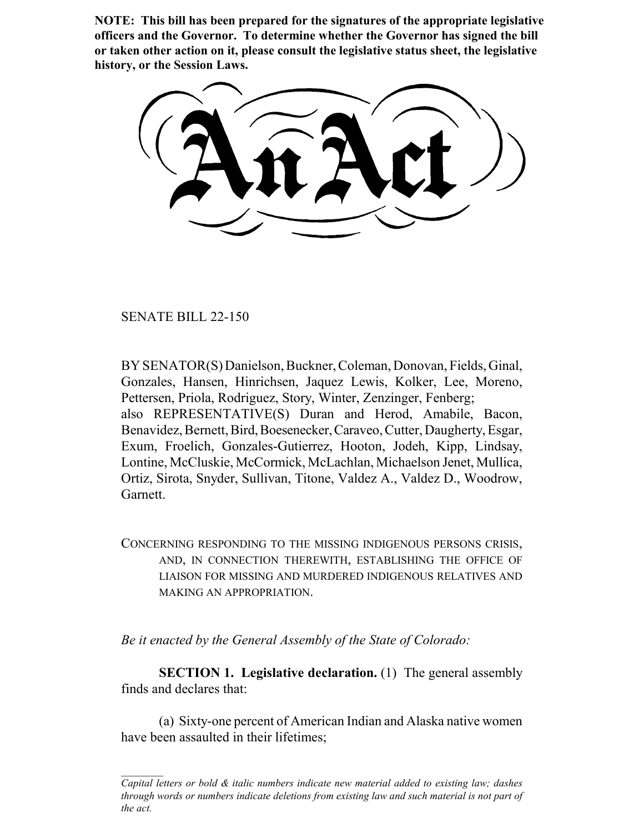**NOTE: This bill has been prepared for the signatures of the appropriate legislative officers and the Governor. To determine whether the Governor has signed the bill or taken other action on it, please consult the legislative status sheet, the legislative history, or the Session Laws.**

SENATE BILL 22-150

BY SENATOR(S) Danielson, Buckner, Coleman, Donovan, Fields, Ginal, Gonzales, Hansen, Hinrichsen, Jaquez Lewis, Kolker, Lee, Moreno, Pettersen, Priola, Rodriguez, Story, Winter, Zenzinger, Fenberg; also REPRESENTATIVE(S) Duran and Herod, Amabile, Bacon, Benavidez, Bernett, Bird, Boesenecker, Caraveo, Cutter, Daugherty, Esgar, Exum, Froelich, Gonzales-Gutierrez, Hooton, Jodeh, Kipp, Lindsay, Lontine, McCluskie, McCormick, McLachlan, Michaelson Jenet, Mullica, Ortiz, Sirota, Snyder, Sullivan, Titone, Valdez A., Valdez D., Woodrow, Garnett.

CONCERNING RESPONDING TO THE MISSING INDIGENOUS PERSONS CRISIS, AND, IN CONNECTION THEREWITH, ESTABLISHING THE OFFICE OF LIAISON FOR MISSING AND MURDERED INDIGENOUS RELATIVES AND MAKING AN APPROPRIATION.

*Be it enacted by the General Assembly of the State of Colorado:*

**SECTION 1. Legislative declaration.** (1) The general assembly finds and declares that:

(a) Sixty-one percent of American Indian and Alaska native women have been assaulted in their lifetimes;

*Capital letters or bold & italic numbers indicate new material added to existing law; dashes through words or numbers indicate deletions from existing law and such material is not part of the act.*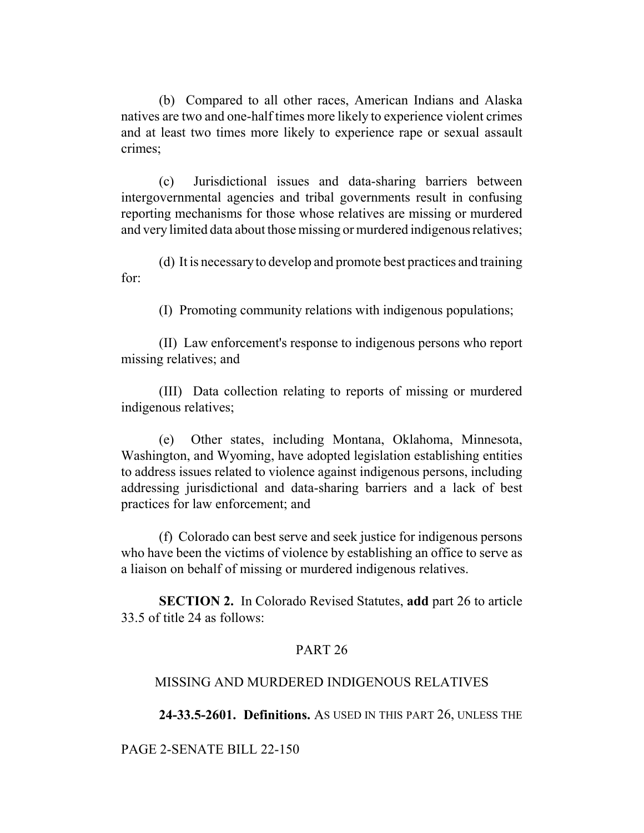(b) Compared to all other races, American Indians and Alaska natives are two and one-half times more likely to experience violent crimes and at least two times more likely to experience rape or sexual assault crimes;

(c) Jurisdictional issues and data-sharing barriers between intergovernmental agencies and tribal governments result in confusing reporting mechanisms for those whose relatives are missing or murdered and very limited data about those missing or murdered indigenous relatives;

(d) It is necessary to develop and promote best practices and training for:

(I) Promoting community relations with indigenous populations;

(II) Law enforcement's response to indigenous persons who report missing relatives; and

(III) Data collection relating to reports of missing or murdered indigenous relatives;

(e) Other states, including Montana, Oklahoma, Minnesota, Washington, and Wyoming, have adopted legislation establishing entities to address issues related to violence against indigenous persons, including addressing jurisdictional and data-sharing barriers and a lack of best practices for law enforcement; and

(f) Colorado can best serve and seek justice for indigenous persons who have been the victims of violence by establishing an office to serve as a liaison on behalf of missing or murdered indigenous relatives.

**SECTION 2.** In Colorado Revised Statutes, **add** part 26 to article 33.5 of title 24 as follows:

# PART 26

## MISSING AND MURDERED INDIGENOUS RELATIVES

**24-33.5-2601. Definitions.** AS USED IN THIS PART 26, UNLESS THE

PAGE 2-SENATE BILL 22-150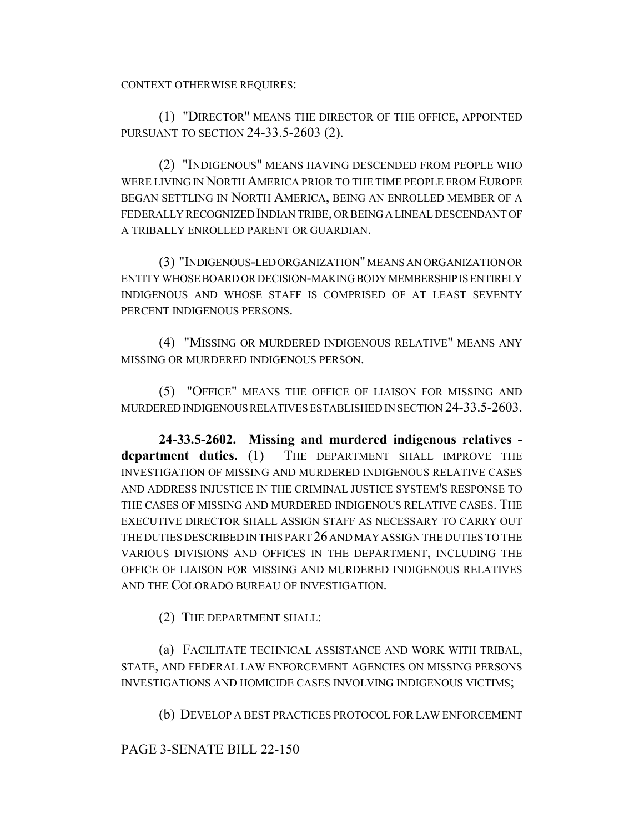CONTEXT OTHERWISE REQUIRES:

(1) "DIRECTOR" MEANS THE DIRECTOR OF THE OFFICE, APPOINTED PURSUANT TO SECTION 24-33.5-2603 (2).

(2) "INDIGENOUS" MEANS HAVING DESCENDED FROM PEOPLE WHO WERE LIVING IN NORTH AMERICA PRIOR TO THE TIME PEOPLE FROM EUROPE BEGAN SETTLING IN NORTH AMERICA, BEING AN ENROLLED MEMBER OF A FEDERALLY RECOGNIZED INDIAN TRIBE, OR BEING A LINEAL DESCENDANT OF A TRIBALLY ENROLLED PARENT OR GUARDIAN.

(3) "INDIGENOUS-LED ORGANIZATION" MEANS AN ORGANIZATION OR ENTITY WHOSE BOARD OR DECISION-MAKING BODY MEMBERSHIP IS ENTIRELY INDIGENOUS AND WHOSE STAFF IS COMPRISED OF AT LEAST SEVENTY PERCENT INDIGENOUS PERSONS.

(4) "MISSING OR MURDERED INDIGENOUS RELATIVE" MEANS ANY MISSING OR MURDERED INDIGENOUS PERSON.

(5) "OFFICE" MEANS THE OFFICE OF LIAISON FOR MISSING AND MURDERED INDIGENOUS RELATIVES ESTABLISHED IN SECTION 24-33.5-2603.

**24-33.5-2602. Missing and murdered indigenous relatives department duties.** (1) THE DEPARTMENT SHALL IMPROVE THE INVESTIGATION OF MISSING AND MURDERED INDIGENOUS RELATIVE CASES AND ADDRESS INJUSTICE IN THE CRIMINAL JUSTICE SYSTEM'S RESPONSE TO THE CASES OF MISSING AND MURDERED INDIGENOUS RELATIVE CASES. THE EXECUTIVE DIRECTOR SHALL ASSIGN STAFF AS NECESSARY TO CARRY OUT THE DUTIES DESCRIBED IN THIS PART 26 AND MAY ASSIGN THE DUTIES TO THE VARIOUS DIVISIONS AND OFFICES IN THE DEPARTMENT, INCLUDING THE OFFICE OF LIAISON FOR MISSING AND MURDERED INDIGENOUS RELATIVES AND THE COLORADO BUREAU OF INVESTIGATION.

(2) THE DEPARTMENT SHALL:

(a) FACILITATE TECHNICAL ASSISTANCE AND WORK WITH TRIBAL, STATE, AND FEDERAL LAW ENFORCEMENT AGENCIES ON MISSING PERSONS INVESTIGATIONS AND HOMICIDE CASES INVOLVING INDIGENOUS VICTIMS;

(b) DEVELOP A BEST PRACTICES PROTOCOL FOR LAW ENFORCEMENT

PAGE 3-SENATE BILL 22-150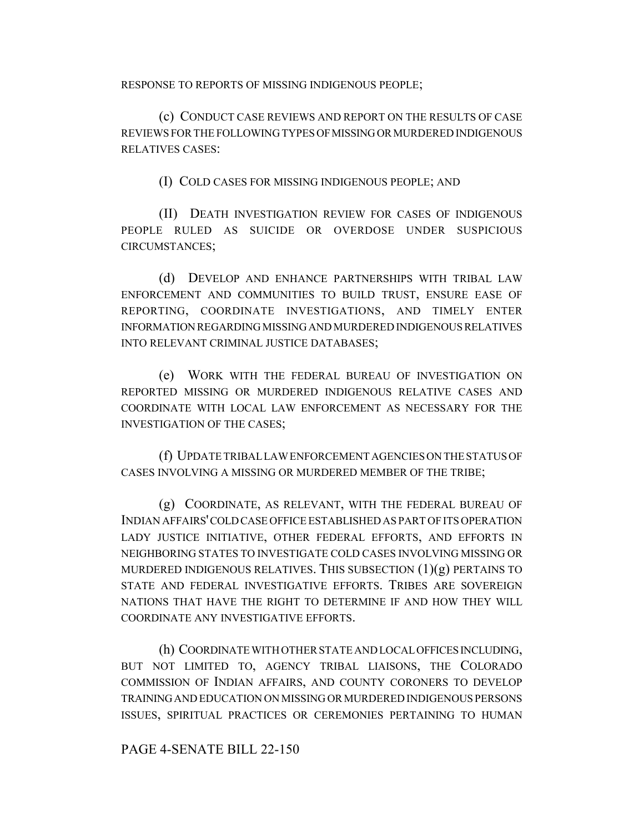RESPONSE TO REPORTS OF MISSING INDIGENOUS PEOPLE;

(c) CONDUCT CASE REVIEWS AND REPORT ON THE RESULTS OF CASE REVIEWS FOR THE FOLLOWING TYPES OF MISSING OR MURDERED INDIGENOUS RELATIVES CASES:

(I) COLD CASES FOR MISSING INDIGENOUS PEOPLE; AND

(II) DEATH INVESTIGATION REVIEW FOR CASES OF INDIGENOUS PEOPLE RULED AS SUICIDE OR OVERDOSE UNDER SUSPICIOUS CIRCUMSTANCES;

(d) DEVELOP AND ENHANCE PARTNERSHIPS WITH TRIBAL LAW ENFORCEMENT AND COMMUNITIES TO BUILD TRUST, ENSURE EASE OF REPORTING, COORDINATE INVESTIGATIONS, AND TIMELY ENTER INFORMATION REGARDING MISSING AND MURDERED INDIGENOUS RELATIVES INTO RELEVANT CRIMINAL JUSTICE DATABASES;

(e) WORK WITH THE FEDERAL BUREAU OF INVESTIGATION ON REPORTED MISSING OR MURDERED INDIGENOUS RELATIVE CASES AND COORDINATE WITH LOCAL LAW ENFORCEMENT AS NECESSARY FOR THE INVESTIGATION OF THE CASES;

(f) UPDATE TRIBAL LAW ENFORCEMENT AGENCIES ON THE STATUS OF CASES INVOLVING A MISSING OR MURDERED MEMBER OF THE TRIBE;

(g) COORDINATE, AS RELEVANT, WITH THE FEDERAL BUREAU OF INDIAN AFFAIRS' COLD CASE OFFICE ESTABLISHED AS PART OF ITS OPERATION LADY JUSTICE INITIATIVE, OTHER FEDERAL EFFORTS, AND EFFORTS IN NEIGHBORING STATES TO INVESTIGATE COLD CASES INVOLVING MISSING OR MURDERED INDIGENOUS RELATIVES. THIS SUBSECTION  $(1)(g)$  PERTAINS TO STATE AND FEDERAL INVESTIGATIVE EFFORTS. TRIBES ARE SOVEREIGN NATIONS THAT HAVE THE RIGHT TO DETERMINE IF AND HOW THEY WILL COORDINATE ANY INVESTIGATIVE EFFORTS.

(h) COORDINATE WITH OTHER STATE AND LOCAL OFFICES INCLUDING, BUT NOT LIMITED TO, AGENCY TRIBAL LIAISONS, THE COLORADO COMMISSION OF INDIAN AFFAIRS, AND COUNTY CORONERS TO DEVELOP TRAINING AND EDUCATION ON MISSING OR MURDERED INDIGENOUS PERSONS ISSUES, SPIRITUAL PRACTICES OR CEREMONIES PERTAINING TO HUMAN

#### PAGE 4-SENATE BILL 22-150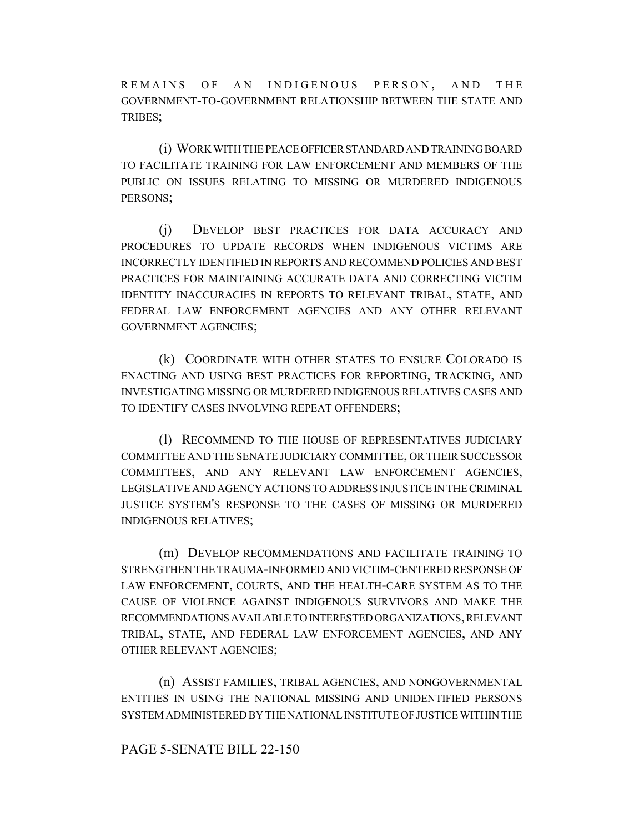REMAINS OF AN INDIGENOUS PERSON, AND THE GOVERNMENT-TO-GOVERNMENT RELATIONSHIP BETWEEN THE STATE AND TRIBES;

(i) WORK WITH THE PEACE OFFICER STANDARD AND TRAINING BOARD TO FACILITATE TRAINING FOR LAW ENFORCEMENT AND MEMBERS OF THE PUBLIC ON ISSUES RELATING TO MISSING OR MURDERED INDIGENOUS PERSONS;

(j) DEVELOP BEST PRACTICES FOR DATA ACCURACY AND PROCEDURES TO UPDATE RECORDS WHEN INDIGENOUS VICTIMS ARE INCORRECTLY IDENTIFIED IN REPORTS AND RECOMMEND POLICIES AND BEST PRACTICES FOR MAINTAINING ACCURATE DATA AND CORRECTING VICTIM IDENTITY INACCURACIES IN REPORTS TO RELEVANT TRIBAL, STATE, AND FEDERAL LAW ENFORCEMENT AGENCIES AND ANY OTHER RELEVANT GOVERNMENT AGENCIES;

(k) COORDINATE WITH OTHER STATES TO ENSURE COLORADO IS ENACTING AND USING BEST PRACTICES FOR REPORTING, TRACKING, AND INVESTIGATING MISSING OR MURDERED INDIGENOUS RELATIVES CASES AND TO IDENTIFY CASES INVOLVING REPEAT OFFENDERS;

(l) RECOMMEND TO THE HOUSE OF REPRESENTATIVES JUDICIARY COMMITTEE AND THE SENATE JUDICIARY COMMITTEE, OR THEIR SUCCESSOR COMMITTEES, AND ANY RELEVANT LAW ENFORCEMENT AGENCIES, LEGISLATIVE AND AGENCY ACTIONS TO ADDRESS INJUSTICE IN THE CRIMINAL JUSTICE SYSTEM'S RESPONSE TO THE CASES OF MISSING OR MURDERED INDIGENOUS RELATIVES;

(m) DEVELOP RECOMMENDATIONS AND FACILITATE TRAINING TO STRENGTHEN THE TRAUMA-INFORMED AND VICTIM-CENTERED RESPONSE OF LAW ENFORCEMENT, COURTS, AND THE HEALTH-CARE SYSTEM AS TO THE CAUSE OF VIOLENCE AGAINST INDIGENOUS SURVIVORS AND MAKE THE RECOMMENDATIONS AVAILABLE TO INTERESTED ORGANIZATIONS, RELEVANT TRIBAL, STATE, AND FEDERAL LAW ENFORCEMENT AGENCIES, AND ANY OTHER RELEVANT AGENCIES;

(n) ASSIST FAMILIES, TRIBAL AGENCIES, AND NONGOVERNMENTAL ENTITIES IN USING THE NATIONAL MISSING AND UNIDENTIFIED PERSONS SYSTEM ADMINISTERED BY THE NATIONAL INSTITUTE OF JUSTICE WITHIN THE

### PAGE 5-SENATE BILL 22-150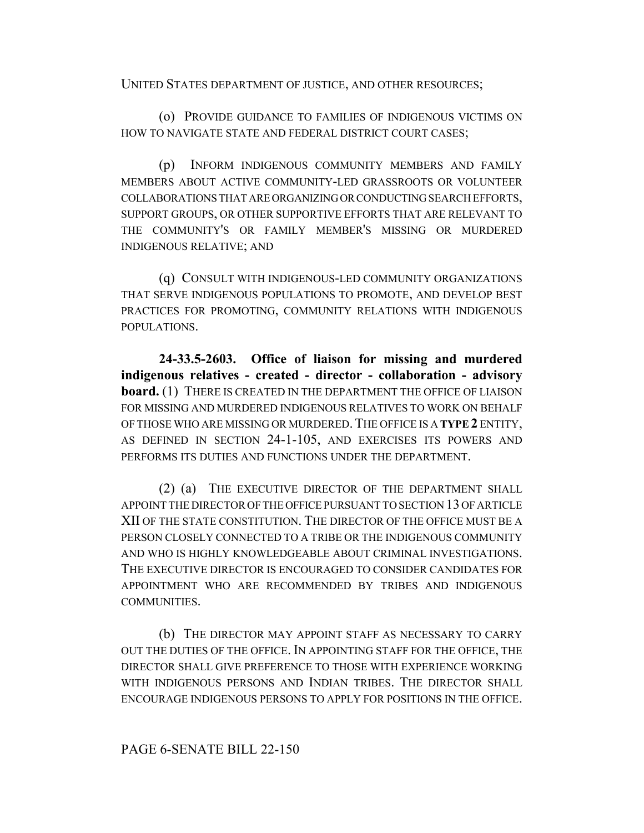UNITED STATES DEPARTMENT OF JUSTICE, AND OTHER RESOURCES;

(o) PROVIDE GUIDANCE TO FAMILIES OF INDIGENOUS VICTIMS ON HOW TO NAVIGATE STATE AND FEDERAL DISTRICT COURT CASES;

(p) INFORM INDIGENOUS COMMUNITY MEMBERS AND FAMILY MEMBERS ABOUT ACTIVE COMMUNITY-LED GRASSROOTS OR VOLUNTEER COLLABORATIONS THAT ARE ORGANIZING OR CONDUCTING SEARCH EFFORTS, SUPPORT GROUPS, OR OTHER SUPPORTIVE EFFORTS THAT ARE RELEVANT TO THE COMMUNITY'S OR FAMILY MEMBER'S MISSING OR MURDERED INDIGENOUS RELATIVE; AND

(q) CONSULT WITH INDIGENOUS-LED COMMUNITY ORGANIZATIONS THAT SERVE INDIGENOUS POPULATIONS TO PROMOTE, AND DEVELOP BEST PRACTICES FOR PROMOTING, COMMUNITY RELATIONS WITH INDIGENOUS POPULATIONS.

**24-33.5-2603. Office of liaison for missing and murdered indigenous relatives - created - director - collaboration - advisory board.** (1) THERE IS CREATED IN THE DEPARTMENT THE OFFICE OF LIAISON FOR MISSING AND MURDERED INDIGENOUS RELATIVES TO WORK ON BEHALF OF THOSE WHO ARE MISSING OR MURDERED.THE OFFICE IS A **TYPE 2** ENTITY, AS DEFINED IN SECTION 24-1-105, AND EXERCISES ITS POWERS AND PERFORMS ITS DUTIES AND FUNCTIONS UNDER THE DEPARTMENT.

(2) (a) THE EXECUTIVE DIRECTOR OF THE DEPARTMENT SHALL APPOINT THE DIRECTOR OF THE OFFICE PURSUANT TO SECTION 13 OF ARTICLE XII OF THE STATE CONSTITUTION. THE DIRECTOR OF THE OFFICE MUST BE A PERSON CLOSELY CONNECTED TO A TRIBE OR THE INDIGENOUS COMMUNITY AND WHO IS HIGHLY KNOWLEDGEABLE ABOUT CRIMINAL INVESTIGATIONS. THE EXECUTIVE DIRECTOR IS ENCOURAGED TO CONSIDER CANDIDATES FOR APPOINTMENT WHO ARE RECOMMENDED BY TRIBES AND INDIGENOUS COMMUNITIES.

(b) THE DIRECTOR MAY APPOINT STAFF AS NECESSARY TO CARRY OUT THE DUTIES OF THE OFFICE. IN APPOINTING STAFF FOR THE OFFICE, THE DIRECTOR SHALL GIVE PREFERENCE TO THOSE WITH EXPERIENCE WORKING WITH INDIGENOUS PERSONS AND INDIAN TRIBES. THE DIRECTOR SHALL ENCOURAGE INDIGENOUS PERSONS TO APPLY FOR POSITIONS IN THE OFFICE.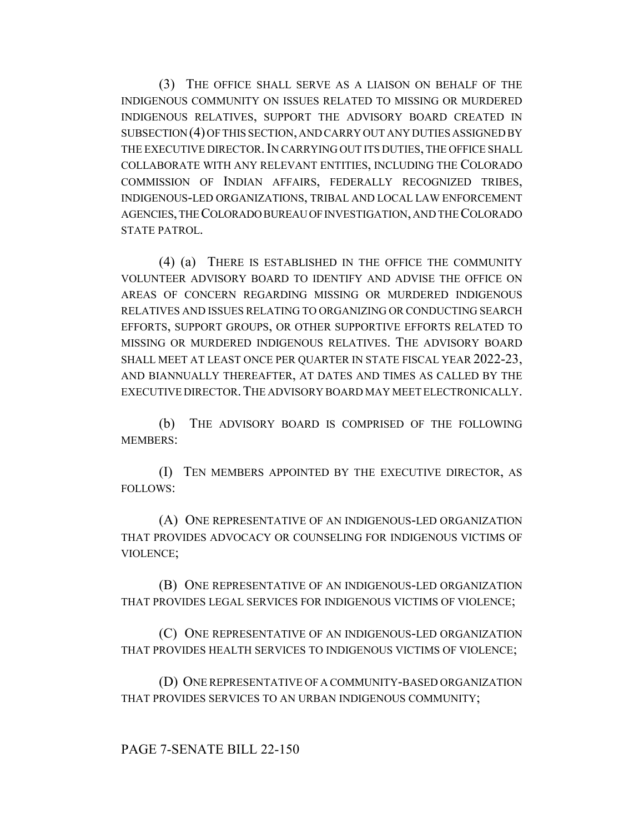(3) THE OFFICE SHALL SERVE AS A LIAISON ON BEHALF OF THE INDIGENOUS COMMUNITY ON ISSUES RELATED TO MISSING OR MURDERED INDIGENOUS RELATIVES, SUPPORT THE ADVISORY BOARD CREATED IN SUBSECTION (4) OF THIS SECTION, AND CARRY OUT ANY DUTIES ASSIGNED BY THE EXECUTIVE DIRECTOR.IN CARRYING OUT ITS DUTIES, THE OFFICE SHALL COLLABORATE WITH ANY RELEVANT ENTITIES, INCLUDING THE COLORADO COMMISSION OF INDIAN AFFAIRS, FEDERALLY RECOGNIZED TRIBES, INDIGENOUS-LED ORGANIZATIONS, TRIBAL AND LOCAL LAW ENFORCEMENT AGENCIES, THE COLORADO BUREAU OF INVESTIGATION, AND THE COLORADO STATE PATROL.

(4) (a) THERE IS ESTABLISHED IN THE OFFICE THE COMMUNITY VOLUNTEER ADVISORY BOARD TO IDENTIFY AND ADVISE THE OFFICE ON AREAS OF CONCERN REGARDING MISSING OR MURDERED INDIGENOUS RELATIVES AND ISSUES RELATING TO ORGANIZING OR CONDUCTING SEARCH EFFORTS, SUPPORT GROUPS, OR OTHER SUPPORTIVE EFFORTS RELATED TO MISSING OR MURDERED INDIGENOUS RELATIVES. THE ADVISORY BOARD SHALL MEET AT LEAST ONCE PER QUARTER IN STATE FISCAL YEAR 2022-23, AND BIANNUALLY THEREAFTER, AT DATES AND TIMES AS CALLED BY THE EXECUTIVE DIRECTOR.THE ADVISORY BOARD MAY MEET ELECTRONICALLY.

(b) THE ADVISORY BOARD IS COMPRISED OF THE FOLLOWING MEMBERS:

(I) TEN MEMBERS APPOINTED BY THE EXECUTIVE DIRECTOR, AS FOLLOWS:

(A) ONE REPRESENTATIVE OF AN INDIGENOUS-LED ORGANIZATION THAT PROVIDES ADVOCACY OR COUNSELING FOR INDIGENOUS VICTIMS OF VIOLENCE;

(B) ONE REPRESENTATIVE OF AN INDIGENOUS-LED ORGANIZATION THAT PROVIDES LEGAL SERVICES FOR INDIGENOUS VICTIMS OF VIOLENCE;

(C) ONE REPRESENTATIVE OF AN INDIGENOUS-LED ORGANIZATION THAT PROVIDES HEALTH SERVICES TO INDIGENOUS VICTIMS OF VIOLENCE;

(D) ONE REPRESENTATIVE OF A COMMUNITY-BASED ORGANIZATION THAT PROVIDES SERVICES TO AN URBAN INDIGENOUS COMMUNITY;

### PAGE 7-SENATE BILL 22-150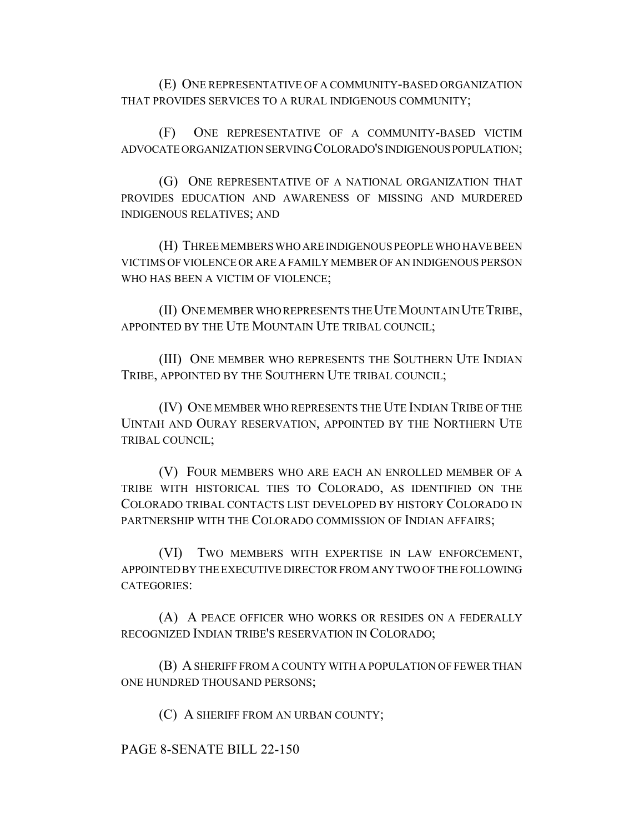(E) ONE REPRESENTATIVE OF A COMMUNITY-BASED ORGANIZATION THAT PROVIDES SERVICES TO A RURAL INDIGENOUS COMMUNITY;

(F) ONE REPRESENTATIVE OF A COMMUNITY-BASED VICTIM ADVOCATE ORGANIZATION SERVING COLORADO'S INDIGENOUS POPULATION;

(G) ONE REPRESENTATIVE OF A NATIONAL ORGANIZATION THAT PROVIDES EDUCATION AND AWARENESS OF MISSING AND MURDERED INDIGENOUS RELATIVES; AND

(H) THREE MEMBERS WHO ARE INDIGENOUS PEOPLE WHO HAVE BEEN VICTIMS OF VIOLENCE OR ARE A FAMILY MEMBER OF AN INDIGENOUS PERSON WHO HAS BEEN A VICTIM OF VIOLENCE;

(II) ONE MEMBER WHO REPRESENTS THE UTE MOUNTAIN UTE TRIBE, APPOINTED BY THE UTE MOUNTAIN UTE TRIBAL COUNCIL;

(III) ONE MEMBER WHO REPRESENTS THE SOUTHERN UTE INDIAN TRIBE, APPOINTED BY THE SOUTHERN UTE TRIBAL COUNCIL;

(IV) ONE MEMBER WHO REPRESENTS THE UTE INDIAN TRIBE OF THE UINTAH AND OURAY RESERVATION, APPOINTED BY THE NORTHERN UTE TRIBAL COUNCIL;

(V) FOUR MEMBERS WHO ARE EACH AN ENROLLED MEMBER OF A TRIBE WITH HISTORICAL TIES TO COLORADO, AS IDENTIFIED ON THE COLORADO TRIBAL CONTACTS LIST DEVELOPED BY HISTORY COLORADO IN PARTNERSHIP WITH THE COLORADO COMMISSION OF INDIAN AFFAIRS;

(VI) TWO MEMBERS WITH EXPERTISE IN LAW ENFORCEMENT, APPOINTED BY THE EXECUTIVE DIRECTOR FROM ANY TWO OF THE FOLLOWING CATEGORIES:

(A) A PEACE OFFICER WHO WORKS OR RESIDES ON A FEDERALLY RECOGNIZED INDIAN TRIBE'S RESERVATION IN COLORADO;

(B) A SHERIFF FROM A COUNTY WITH A POPULATION OF FEWER THAN ONE HUNDRED THOUSAND PERSONS;

(C) A SHERIFF FROM AN URBAN COUNTY;

PAGE 8-SENATE BILL 22-150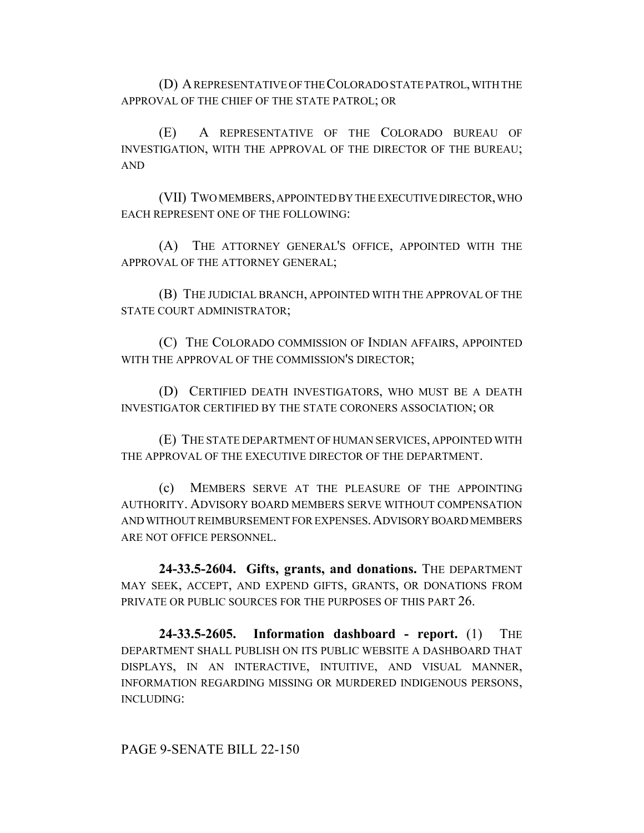(D) A REPRESENTATIVE OF THE COLORADO STATE PATROL, WITH THE APPROVAL OF THE CHIEF OF THE STATE PATROL; OR

(E) A REPRESENTATIVE OF THE COLORADO BUREAU OF INVESTIGATION, WITH THE APPROVAL OF THE DIRECTOR OF THE BUREAU; AND

(VII) TWO MEMBERS, APPOINTED BY THE EXECUTIVE DIRECTOR, WHO EACH REPRESENT ONE OF THE FOLLOWING:

(A) THE ATTORNEY GENERAL'S OFFICE, APPOINTED WITH THE APPROVAL OF THE ATTORNEY GENERAL;

(B) THE JUDICIAL BRANCH, APPOINTED WITH THE APPROVAL OF THE STATE COURT ADMINISTRATOR;

(C) THE COLORADO COMMISSION OF INDIAN AFFAIRS, APPOINTED WITH THE APPROVAL OF THE COMMISSION'S DIRECTOR;

(D) CERTIFIED DEATH INVESTIGATORS, WHO MUST BE A DEATH INVESTIGATOR CERTIFIED BY THE STATE CORONERS ASSOCIATION; OR

(E) THE STATE DEPARTMENT OF HUMAN SERVICES, APPOINTED WITH THE APPROVAL OF THE EXECUTIVE DIRECTOR OF THE DEPARTMENT.

(c) MEMBERS SERVE AT THE PLEASURE OF THE APPOINTING AUTHORITY. ADVISORY BOARD MEMBERS SERVE WITHOUT COMPENSATION AND WITHOUT REIMBURSEMENT FOR EXPENSES.ADVISORY BOARD MEMBERS ARE NOT OFFICE PERSONNEL.

**24-33.5-2604. Gifts, grants, and donations.** THE DEPARTMENT MAY SEEK, ACCEPT, AND EXPEND GIFTS, GRANTS, OR DONATIONS FROM PRIVATE OR PUBLIC SOURCES FOR THE PURPOSES OF THIS PART 26.

**24-33.5-2605. Information dashboard - report.** (1) THE DEPARTMENT SHALL PUBLISH ON ITS PUBLIC WEBSITE A DASHBOARD THAT DISPLAYS, IN AN INTERACTIVE, INTUITIVE, AND VISUAL MANNER, INFORMATION REGARDING MISSING OR MURDERED INDIGENOUS PERSONS, INCLUDING:

PAGE 9-SENATE BILL 22-150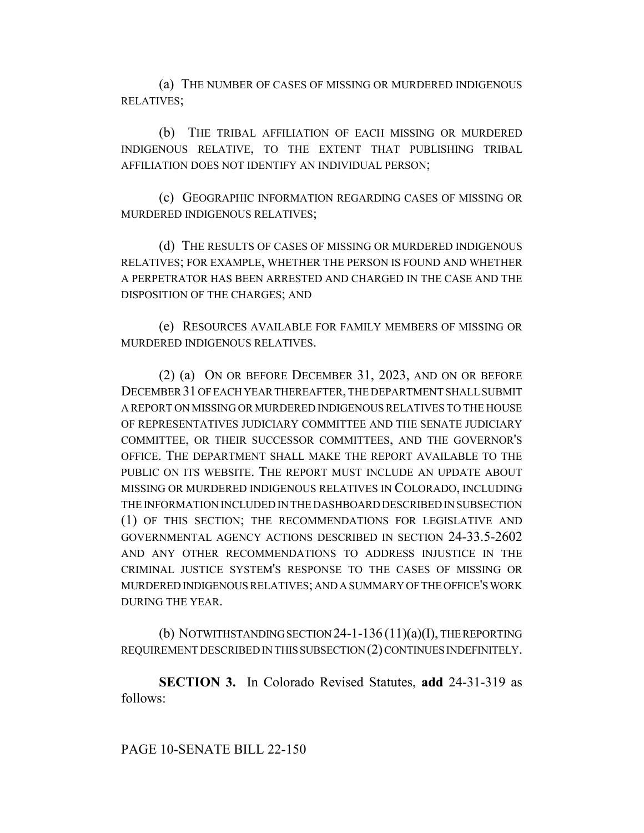(a) THE NUMBER OF CASES OF MISSING OR MURDERED INDIGENOUS RELATIVES;

(b) THE TRIBAL AFFILIATION OF EACH MISSING OR MURDERED INDIGENOUS RELATIVE, TO THE EXTENT THAT PUBLISHING TRIBAL AFFILIATION DOES NOT IDENTIFY AN INDIVIDUAL PERSON;

(c) GEOGRAPHIC INFORMATION REGARDING CASES OF MISSING OR MURDERED INDIGENOUS RELATIVES;

(d) THE RESULTS OF CASES OF MISSING OR MURDERED INDIGENOUS RELATIVES; FOR EXAMPLE, WHETHER THE PERSON IS FOUND AND WHETHER A PERPETRATOR HAS BEEN ARRESTED AND CHARGED IN THE CASE AND THE DISPOSITION OF THE CHARGES; AND

(e) RESOURCES AVAILABLE FOR FAMILY MEMBERS OF MISSING OR MURDERED INDIGENOUS RELATIVES.

(2) (a) ON OR BEFORE DECEMBER 31, 2023, AND ON OR BEFORE DECEMBER 31 OF EACH YEAR THEREAFTER, THE DEPARTMENT SHALL SUBMIT A REPORT ON MISSING OR MURDERED INDIGENOUS RELATIVES TO THE HOUSE OF REPRESENTATIVES JUDICIARY COMMITTEE AND THE SENATE JUDICIARY COMMITTEE, OR THEIR SUCCESSOR COMMITTEES, AND THE GOVERNOR'S OFFICE. THE DEPARTMENT SHALL MAKE THE REPORT AVAILABLE TO THE PUBLIC ON ITS WEBSITE. THE REPORT MUST INCLUDE AN UPDATE ABOUT MISSING OR MURDERED INDIGENOUS RELATIVES IN COLORADO, INCLUDING THE INFORMATION INCLUDED IN THE DASHBOARD DESCRIBED IN SUBSECTION (1) OF THIS SECTION; THE RECOMMENDATIONS FOR LEGISLATIVE AND GOVERNMENTAL AGENCY ACTIONS DESCRIBED IN SECTION 24-33.5-2602 AND ANY OTHER RECOMMENDATIONS TO ADDRESS INJUSTICE IN THE CRIMINAL JUSTICE SYSTEM'S RESPONSE TO THE CASES OF MISSING OR MURDERED INDIGENOUS RELATIVES; AND A SUMMARY OF THE OFFICE'S WORK DURING THE YEAR.

(b) NOTWITHSTANDING SECTION 24-1-136  $(11)(a)(I)$ , THE REPORTING REQUIREMENT DESCRIBED IN THIS SUBSECTION (2) CONTINUES INDEFINITELY.

**SECTION 3.** In Colorado Revised Statutes, **add** 24-31-319 as follows: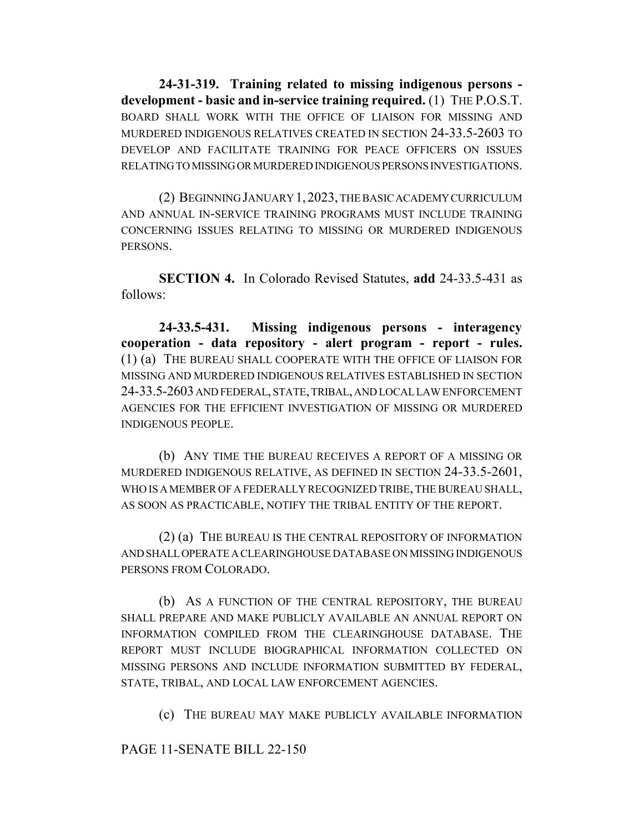**24-31-319. Training related to missing indigenous persons development - basic and in-service training required.** (1) THE P.O.S.T. BOARD SHALL WORK WITH THE OFFICE OF LIAISON FOR MISSING AND MURDERED INDIGENOUS RELATIVES CREATED IN SECTION 24-33.5-2603 TO DEVELOP AND FACILITATE TRAINING FOR PEACE OFFICERS ON ISSUES RELATING TO MISSING OR MURDERED INDIGENOUS PERSONS INVESTIGATIONS.

(2) BEGINNING JANUARY 1,2023, THE BASIC ACADEMY CURRICULUM AND ANNUAL IN-SERVICE TRAINING PROGRAMS MUST INCLUDE TRAINING CONCERNING ISSUES RELATING TO MISSING OR MURDERED INDIGENOUS PERSONS.

**SECTION 4.** In Colorado Revised Statutes, **add** 24-33.5-431 as follows:

**24-33.5-431. Missing indigenous persons - interagency cooperation - data repository - alert program - report - rules.** (1) (a) THE BUREAU SHALL COOPERATE WITH THE OFFICE OF LIAISON FOR MISSING AND MURDERED INDIGENOUS RELATIVES ESTABLISHED IN SECTION 24-33.5-2603 AND FEDERAL, STATE, TRIBAL, AND LOCAL LAW ENFORCEMENT AGENCIES FOR THE EFFICIENT INVESTIGATION OF MISSING OR MURDERED INDIGENOUS PEOPLE.

(b) ANY TIME THE BUREAU RECEIVES A REPORT OF A MISSING OR MURDERED INDIGENOUS RELATIVE, AS DEFINED IN SECTION 24-33.5-2601, WHO IS A MEMBER OF A FEDERALLY RECOGNIZED TRIBE, THE BUREAU SHALL, AS SOON AS PRACTICABLE, NOTIFY THE TRIBAL ENTITY OF THE REPORT.

(2) (a) THE BUREAU IS THE CENTRAL REPOSITORY OF INFORMATION AND SHALL OPERATE A CLEARINGHOUSE DATABASE ON MISSING INDIGENOUS PERSONS FROM COLORADO.

(b) AS A FUNCTION OF THE CENTRAL REPOSITORY, THE BUREAU SHALL PREPARE AND MAKE PUBLICLY AVAILABLE AN ANNUAL REPORT ON INFORMATION COMPILED FROM THE CLEARINGHOUSE DATABASE. THE REPORT MUST INCLUDE BIOGRAPHICAL INFORMATION COLLECTED ON MISSING PERSONS AND INCLUDE INFORMATION SUBMITTED BY FEDERAL, STATE, TRIBAL, AND LOCAL LAW ENFORCEMENT AGENCIES.

(c) THE BUREAU MAY MAKE PUBLICLY AVAILABLE INFORMATION

PAGE 11-SENATE BILL 22-150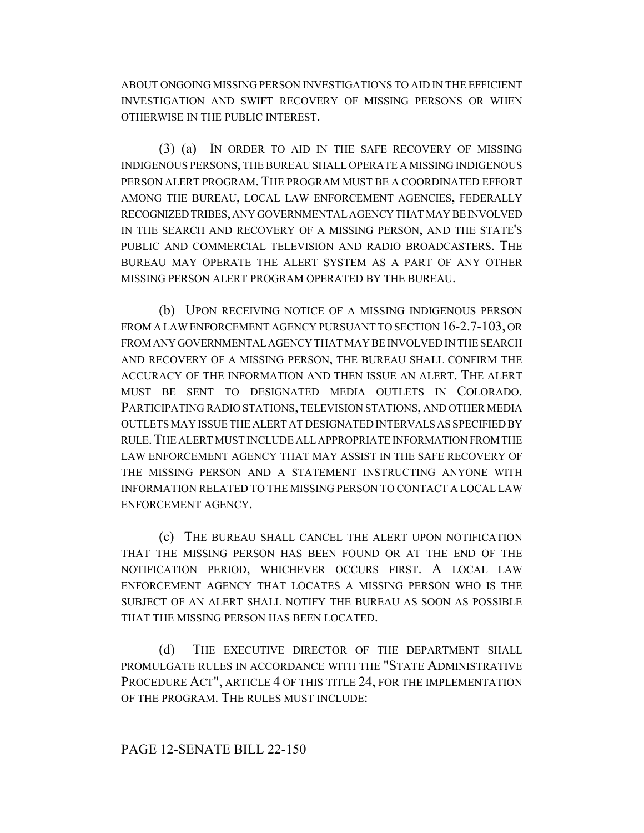ABOUT ONGOING MISSING PERSON INVESTIGATIONS TO AID IN THE EFFICIENT INVESTIGATION AND SWIFT RECOVERY OF MISSING PERSONS OR WHEN OTHERWISE IN THE PUBLIC INTEREST.

(3) (a) IN ORDER TO AID IN THE SAFE RECOVERY OF MISSING INDIGENOUS PERSONS, THE BUREAU SHALL OPERATE A MISSING INDIGENOUS PERSON ALERT PROGRAM. THE PROGRAM MUST BE A COORDINATED EFFORT AMONG THE BUREAU, LOCAL LAW ENFORCEMENT AGENCIES, FEDERALLY RECOGNIZED TRIBES, ANY GOVERNMENTAL AGENCY THAT MAY BE INVOLVED IN THE SEARCH AND RECOVERY OF A MISSING PERSON, AND THE STATE'S PUBLIC AND COMMERCIAL TELEVISION AND RADIO BROADCASTERS. THE BUREAU MAY OPERATE THE ALERT SYSTEM AS A PART OF ANY OTHER MISSING PERSON ALERT PROGRAM OPERATED BY THE BUREAU.

(b) UPON RECEIVING NOTICE OF A MISSING INDIGENOUS PERSON FROM A LAW ENFORCEMENT AGENCY PURSUANT TO SECTION 16-2.7-103, OR FROM ANY GOVERNMENTAL AGENCY THAT MAY BE INVOLVED IN THE SEARCH AND RECOVERY OF A MISSING PERSON, THE BUREAU SHALL CONFIRM THE ACCURACY OF THE INFORMATION AND THEN ISSUE AN ALERT. THE ALERT MUST BE SENT TO DESIGNATED MEDIA OUTLETS IN COLORADO. PARTICIPATING RADIO STATIONS, TELEVISION STATIONS, AND OTHER MEDIA OUTLETS MAY ISSUE THE ALERT AT DESIGNATED INTERVALS AS SPECIFIED BY RULE.THE ALERT MUST INCLUDE ALL APPROPRIATE INFORMATION FROM THE LAW ENFORCEMENT AGENCY THAT MAY ASSIST IN THE SAFE RECOVERY OF THE MISSING PERSON AND A STATEMENT INSTRUCTING ANYONE WITH INFORMATION RELATED TO THE MISSING PERSON TO CONTACT A LOCAL LAW ENFORCEMENT AGENCY.

(c) THE BUREAU SHALL CANCEL THE ALERT UPON NOTIFICATION THAT THE MISSING PERSON HAS BEEN FOUND OR AT THE END OF THE NOTIFICATION PERIOD, WHICHEVER OCCURS FIRST. A LOCAL LAW ENFORCEMENT AGENCY THAT LOCATES A MISSING PERSON WHO IS THE SUBJECT OF AN ALERT SHALL NOTIFY THE BUREAU AS SOON AS POSSIBLE THAT THE MISSING PERSON HAS BEEN LOCATED.

(d) THE EXECUTIVE DIRECTOR OF THE DEPARTMENT SHALL PROMULGATE RULES IN ACCORDANCE WITH THE "STATE ADMINISTRATIVE PROCEDURE ACT", ARTICLE 4 OF THIS TITLE 24, FOR THE IMPLEMENTATION OF THE PROGRAM. THE RULES MUST INCLUDE:

### PAGE 12-SENATE BILL 22-150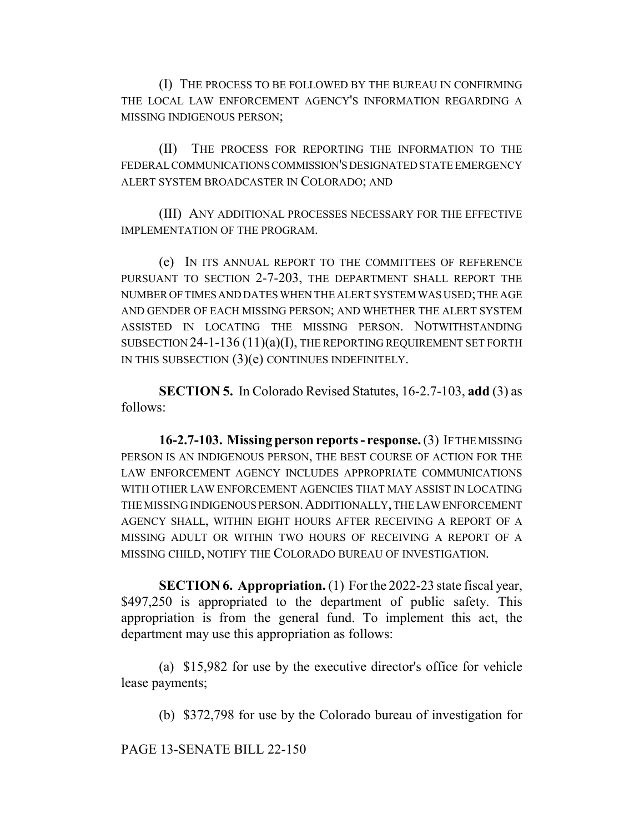(I) THE PROCESS TO BE FOLLOWED BY THE BUREAU IN CONFIRMING THE LOCAL LAW ENFORCEMENT AGENCY'S INFORMATION REGARDING A MISSING INDIGENOUS PERSON;

(II) THE PROCESS FOR REPORTING THE INFORMATION TO THE FEDERAL COMMUNICATIONS COMMISSION'S DESIGNATED STATE EMERGENCY ALERT SYSTEM BROADCASTER IN COLORADO; AND

(III) ANY ADDITIONAL PROCESSES NECESSARY FOR THE EFFECTIVE IMPLEMENTATION OF THE PROGRAM.

(e) IN ITS ANNUAL REPORT TO THE COMMITTEES OF REFERENCE PURSUANT TO SECTION 2-7-203, THE DEPARTMENT SHALL REPORT THE NUMBER OF TIMES AND DATES WHEN THE ALERT SYSTEM WAS USED; THE AGE AND GENDER OF EACH MISSING PERSON; AND WHETHER THE ALERT SYSTEM ASSISTED IN LOCATING THE MISSING PERSON. NOTWITHSTANDING SUBSECTION  $24$ -1-136 (11)(a)(I), THE REPORTING REQUIREMENT SET FORTH IN THIS SUBSECTION (3)(e) CONTINUES INDEFINITELY.

**SECTION 5.** In Colorado Revised Statutes, 16-2.7-103, **add** (3) as follows:

**16-2.7-103. Missing person reports - response.** (3) IF THE MISSING PERSON IS AN INDIGENOUS PERSON, THE BEST COURSE OF ACTION FOR THE LAW ENFORCEMENT AGENCY INCLUDES APPROPRIATE COMMUNICATIONS WITH OTHER LAW ENFORCEMENT AGENCIES THAT MAY ASSIST IN LOCATING THE MISSING INDIGENOUS PERSON.ADDITIONALLY, THE LAW ENFORCEMENT AGENCY SHALL, WITHIN EIGHT HOURS AFTER RECEIVING A REPORT OF A MISSING ADULT OR WITHIN TWO HOURS OF RECEIVING A REPORT OF A MISSING CHILD, NOTIFY THE COLORADO BUREAU OF INVESTIGATION.

**SECTION 6. Appropriation.** (1) For the 2022-23 state fiscal year, \$497,250 is appropriated to the department of public safety. This appropriation is from the general fund. To implement this act, the department may use this appropriation as follows:

(a) \$15,982 for use by the executive director's office for vehicle lease payments;

(b) \$372,798 for use by the Colorado bureau of investigation for

PAGE 13-SENATE BILL 22-150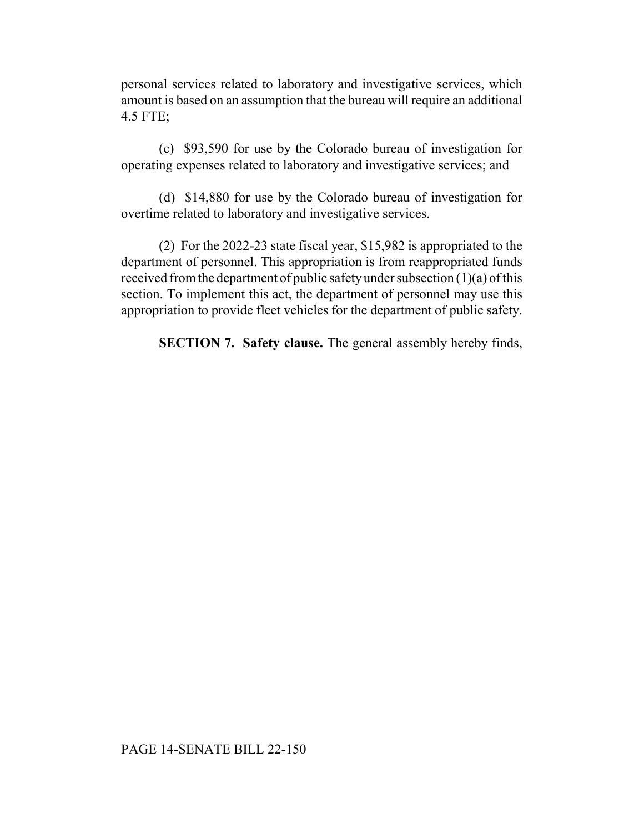personal services related to laboratory and investigative services, which amount is based on an assumption that the bureau will require an additional 4.5 FTE;

(c) \$93,590 for use by the Colorado bureau of investigation for operating expenses related to laboratory and investigative services; and

(d) \$14,880 for use by the Colorado bureau of investigation for overtime related to laboratory and investigative services.

(2) For the 2022-23 state fiscal year, \$15,982 is appropriated to the department of personnel. This appropriation is from reappropriated funds received from the department of public safety under subsection (1)(a) of this section. To implement this act, the department of personnel may use this appropriation to provide fleet vehicles for the department of public safety.

**SECTION 7. Safety clause.** The general assembly hereby finds,